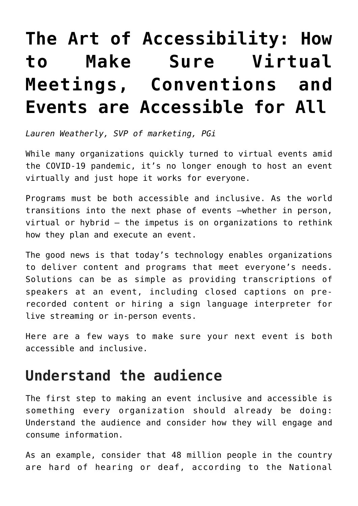## **[The Art of Accessibility: How](https://www.commpro.biz/the-art-of-accessibility-how-to-make-sure-virtual-meetings-conventions-and-events-are-accessible-for-all/) [to Make Sure Virtual](https://www.commpro.biz/the-art-of-accessibility-how-to-make-sure-virtual-meetings-conventions-and-events-are-accessible-for-all/) [Meetings, Conventions and](https://www.commpro.biz/the-art-of-accessibility-how-to-make-sure-virtual-meetings-conventions-and-events-are-accessible-for-all/) [Events are Accessible for All](https://www.commpro.biz/the-art-of-accessibility-how-to-make-sure-virtual-meetings-conventions-and-events-are-accessible-for-all/)**

*Lauren Weatherly, SVP of marketing, [PGi](http://www.pgi.com/)*

While many organizations quickly turned to virtual events amid the COVID-19 pandemic, it's no longer enough to host an event virtually and just hope it works for everyone.

Programs must be both accessible and inclusive. As the world transitions into the next phase of events –whether in person, virtual or hybrid – the impetus is on organizations to rethink how they plan and execute an event.

The good news is that today's technology enables organizations to deliver content and programs that meet everyone's needs. Solutions can be as simple as providing transcriptions of speakers at an event, including closed captions on prerecorded content or hiring a sign language interpreter for live streaming or in-person events.

Here are a few ways to make sure your next event is both accessible and inclusive.

## **Understand the audience**

The first step to making an event inclusive and accessible is something every organization should already be doing: Understand the audience and consider how they will engage and consume information.

As an example, consider that 48 million people in the country are hard of hearing or deaf, [according](https://www.nad.org/2020/08/03/nad-sues-white-house/) to the National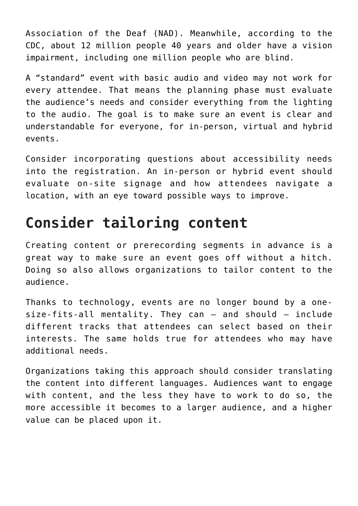Association of the Deaf (NAD). Meanwhile, [according](https://www.cdc.gov/visionhealth/basics/ced/fastfacts.htm) to the CDC, about 12 million people 40 years and older have a vision impairment, including one million people who are blind.

A "standard" event with basic audio and video may not work for every attendee. That means the planning phase must evaluate the audience's needs and consider everything from the lighting to the audio. The goal is to make sure an event is clear and understandable for everyone, for in-person, virtual and hybrid events.

Consider incorporating questions about accessibility needs into the registration. An in-person or hybrid event should evaluate on-site signage and how attendees navigate a location, with an eye toward possible ways to improve.

## **Consider tailoring content**

Creating content or prerecording segments in advance is a great way to make sure an event goes off without a hitch. Doing so also allows organizations to tailor content to the audience.

Thanks to technology, events are no longer bound by a onesize-fits-all mentality. They can – and should – include different tracks that attendees can select based on their interests. The same holds true for attendees who may have additional needs.

Organizations taking this approach should consider translating the content into different languages. Audiences want to engage with content, and the less they have to work to do so, the more accessible it becomes to a larger audience, and a higher value can be placed upon it.